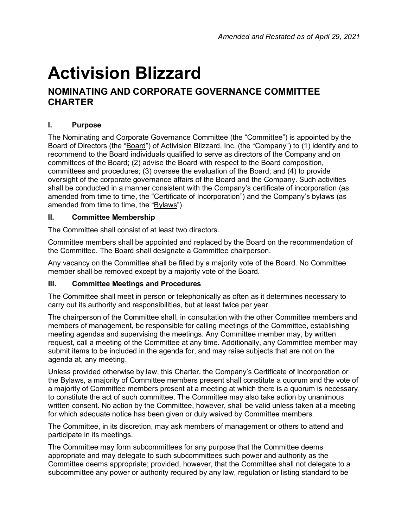# **Activision Blizzard**

## **NOMINATING AND CORPORATE GOVERNANCE COMMITTEE CHARTER**

## **I. Purpose**

The Nominating and Corporate Governance Committee (the "Committee") is appointed by the Board of Directors (the "Board") of Activision Blizzard, Inc. (the "Company") to (1) identify and to recommend to the Board individuals qualified to serve as directors of the Company and on committees of the Board; (2) advise the Board with respect to the Board composition, committees and procedures; (3) oversee the evaluation of the Board; and (4) to provide oversight of the corporate governance affairs of the Board and the Company. Such activities shall be conducted in a manner consistent with the Company's certificate of incorporation (as amended from time to time, the "Certificate of Incorporation") and the Company's bylaws (as amended from time to time, the "Bylaws").

#### **II. Committee Membership**

The Committee shall consist of at least two directors.

Committee members shall be appointed and replaced by the Board on the recommendation of the Committee. The Board shall designate a Committee chairperson.

Any vacancy on the Committee shall be filled by a majority vote of the Board. No Committee member shall be removed except by a majority vote of the Board.

#### **III. Committee Meetings and Procedures**

The Committee shall meet in person or telephonically as often as it determines necessary to carry out its authority and responsibilities, but at least twice per year.

The chairperson of the Committee shall, in consultation with the other Committee members and members of management, be responsible for calling meetings of the Committee, establishing meeting agendas and supervising the meetings. Any Committee member may, by written request, call a meeting of the Committee at any time. Additionally, any Committee member may submit items to be included in the agenda for, and may raise subjects that are not on the agenda at, any meeting.

Unless provided otherwise by law, this Charter, the Company's Certificate of Incorporation or the Bylaws, a majority of Committee members present shall constitute a quorum and the vote of a majority of Committee members present at a meeting at which there is a quorum is necessary to constitute the act of such committee. The Committee may also take action by unanimous written consent. No action by the Committee, however, shall be valid unless taken at a meeting for which adequate notice has been given or duly waived by Committee members.

The Committee, in its discretion, may ask members of management or others to attend and participate in its meetings.

The Committee may form subcommittees for any purpose that the Committee deems appropriate and may delegate to such subcommittees such power and authority as the Committee deems appropriate; provided, however, that the Committee shall not delegate to a subcommittee any power or authority required by any law, regulation or listing standard to be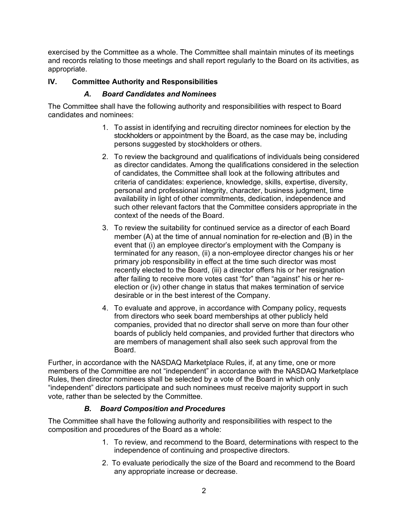exercised by the Committee as a whole. The Committee shall maintain minutes of its meetings and records relating to those meetings and shall report regularly to the Board on its activities, as appropriate.

#### **IV. Committee Authority and Responsibilities**

#### *A. Board Candidates and Nominees*

The Committee shall have the following authority and responsibilities with respect to Board candidates and nominees:

- 1. To assist in identifying and recruiting director nominees for election by the stockholders or appointment by the Board, as the case may be, including persons suggested by stockholders or others.
- 2. To review the background and qualifications of individuals being considered as director candidates. Among the qualifications considered in the selection of candidates, the Committee shall look at the following attributes and criteria of candidates: experience, knowledge, skills, expertise, diversity, personal and professional integrity, character, business judgment, time availability in light of other commitments, dedication, independence and such other relevant factors that the Committee considers appropriate in the context of the needs of the Board.
- 3. To review the suitability for continued service as a director of each Board member (A) at the time of annual nomination for re-election and (B) in the event that (i) an employee director's employment with the Company is terminated for any reason, (ii) a non-employee director changes his or her primary job responsibility in effect at the time such director was most recently elected to the Board, (iii) a director offers his or her resignation after failing to receive more votes cast "for" than "against" his or her reelection or (iv) other change in status that makes termination of service desirable or in the best interest of the Company.
- 4. To evaluate and approve, in accordance with Company policy, requests from directors who seek board memberships at other publicly held companies, provided that no director shall serve on more than four other boards of publicly held companies, and provided further that directors who are members of management shall also seek such approval from the Board.

Further, in accordance with the NASDAQ Marketplace Rules, if, at any time, one or more members of the Committee are not "independent" in accordance with the NASDAQ Marketplace Rules, then director nominees shall be selected by a vote of the Board in which only "independent" directors participate and such nominees must receive majority support in such vote, rather than be selected by the Committee.

#### *B. Board Composition and Procedures*

The Committee shall have the following authority and responsibilities with respect to the composition and procedures of the Board as a whole:

- 1. To review, and recommend to the Board, determinations with respect to the independence of continuing and prospective directors.
- 2. To evaluate periodically the size of the Board and recommend to the Board any appropriate increase or decrease.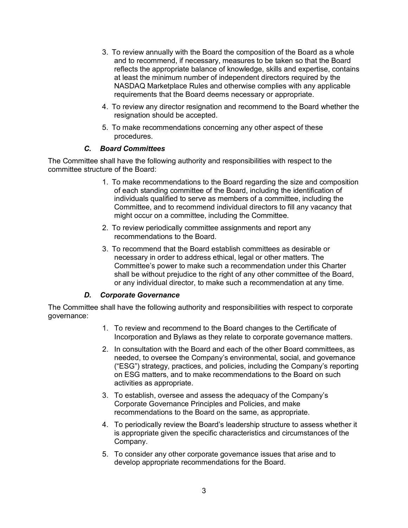- 3. To review annually with the Board the composition of the Board as a whole and to recommend, if necessary, measures to be taken so that the Board reflects the appropriate balance of knowledge, skills and expertise, contains at least the minimum number of independent directors required by the NASDAQ Marketplace Rules and otherwise complies with any applicable requirements that the Board deems necessary or appropriate.
- 4. To review any director resignation and recommend to the Board whether the resignation should be accepted.
- 5. To make recommendations concerning any other aspect of these procedures.

#### *C. Board Committees*

The Committee shall have the following authority and responsibilities with respect to the committee structure of the Board:

- 1. To make recommendations to the Board regarding the size and composition of each standing committee of the Board, including the identification of individuals qualified to serve as members of a committee, including the Committee, and to recommend individual directors to fill any vacancy that might occur on a committee, including the Committee.
- 2. To review periodically committee assignments and report any recommendations to the Board.
- 3. To recommend that the Board establish committees as desirable or necessary in order to address ethical, legal or other matters. The Committee's power to make such a recommendation under this Charter shall be without prejudice to the right of any other committee of the Board, or any individual director, to make such a recommendation at any time.

#### *D. Corporate Governance*

The Committee shall have the following authority and responsibilities with respect to corporate governance:

- 1. To review and recommend to the Board changes to the Certificate of Incorporation and Bylaws as they relate to corporate governance matters.
- 2. In consultation with the Board and each of the other Board committees, as needed, to oversee the Company's environmental, social, and governance ("ESG") strategy, practices, and policies, including the Company's reporting on ESG matters, and to make recommendations to the Board on such activities as appropriate.
- 3. To establish, oversee and assess the adequacy of the Company's Corporate Governance Principles and Policies, and make recommendations to the Board on the same, as appropriate.
- 4. To periodically review the Board's leadership structure to assess whether it is appropriate given the specific characteristics and circumstances of the Company.
- 5. To consider any other corporate governance issues that arise and to develop appropriate recommendations for the Board.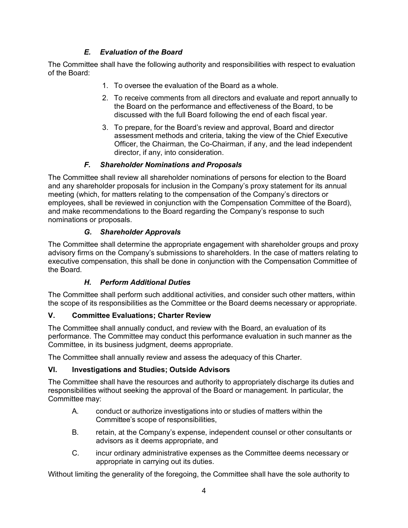## *E. Evaluation of the Board*

The Committee shall have the following authority and responsibilities with respect to evaluation of the Board:

- 1. To oversee the evaluation of the Board as a whole.
- 2. To receive comments from all directors and evaluate and report annually to the Board on the performance and effectiveness of the Board, to be discussed with the full Board following the end of each fiscal year.
- 3. To prepare, for the Board's review and approval, Board and director assessment methods and criteria, taking the view of the Chief Executive Officer, the Chairman, the Co-Chairman, if any, and the lead independent director, if any, into consideration.

### *F. Shareholder Nominations and Proposals*

The Committee shall review all shareholder nominations of persons for election to the Board and any shareholder proposals for inclusion in the Company's proxy statement for its annual meeting (which, for matters relating to the compensation of the Company's directors or employees, shall be reviewed in conjunction with the Compensation Committee of the Board), and make recommendations to the Board regarding the Company's response to such nominations or proposals.

#### *G. Shareholder Approvals*

The Committee shall determine the appropriate engagement with shareholder groups and proxy advisory firms on the Company's submissions to shareholders. In the case of matters relating to executive compensation, this shall be done in conjunction with the Compensation Committee of the Board.

## *H. Perform Additional Duties*

The Committee shall perform such additional activities, and consider such other matters, within the scope of its responsibilities as the Committee or the Board deems necessary or appropriate.

## **V. Committee Evaluations; Charter Review**

The Committee shall annually conduct, and review with the Board, an evaluation of its performance. The Committee may conduct this performance evaluation in such manner as the Committee, in its business judgment, deems appropriate.

The Committee shall annually review and assess the adequacy of this Charter.

## **VI. Investigations and Studies; Outside Advisors**

The Committee shall have the resources and authority to appropriately discharge its duties and responsibilities without seeking the approval of the Board or management. In particular, the Committee may:

- A. conduct or authorize investigations into or studies of matters within the Committee's scope of responsibilities,
- B. retain, at the Company's expense, independent counsel or other consultants or advisors as it deems appropriate, and
- C. incur ordinary administrative expenses as the Committee deems necessary or appropriate in carrying out its duties.

Without limiting the generality of the foregoing, the Committee shall have the sole authority to